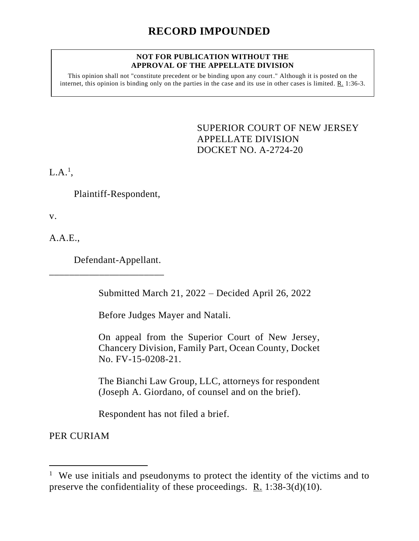#### **NOT FOR PUBLICATION WITHOUT THE APPROVAL OF THE APPELLATE DIVISION**

This opinion shall not "constitute precedent or be binding upon any court." Although it is posted on the internet, this opinion is binding only on the parties in the case and its use in other cases is limited. R. 1:36-3.

> <span id="page-0-0"></span>SUPERIOR COURT OF NEW JERSEY APPELLATE DIVISION DOCKET NO. A-2724-20

 $L.A.^{1},$ 

Plaintiff-Respondent,

v.

A.A.E.,

Defendant-Appellant.

\_\_\_\_\_\_\_\_\_\_\_\_\_\_\_\_\_\_\_\_\_\_\_

Submitted March 21, 2022 – Decided April 26, 2022

Before Judges Mayer and Natali.

On appeal from the Superior Court of New Jersey, Chancery Division, Family Part, Ocean County, Docket No. FV-15-0208-21.

The Bianchi Law Group, LLC, attorneys for respondent (Joseph A. Giordano, of counsel and on the brief).

Respondent has not filed a brief.

PER CURIAM

<sup>&</sup>lt;sup>1</sup> We use initials and pseudonyms to protect the identity of the victims and to preserve the confidentiality of these proceedings. R. 1:38-3(d)(10).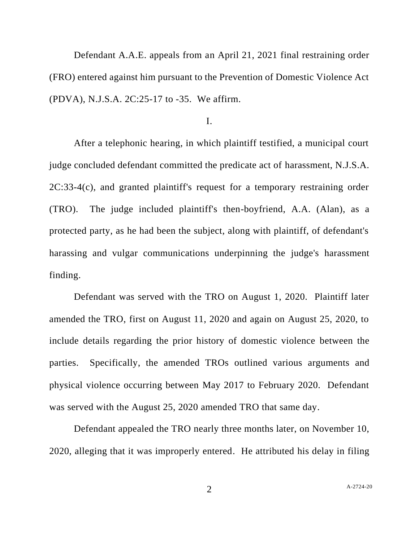Defendant A.A.E. appeals from an April 21, 2021 final restraining order (FRO) entered against him pursuant to the Prevention of Domestic Violence Act (PDVA), N.J.S.A. 2C:25-17 to -35. We affirm.

# I.

After a telephonic hearing, in which plaintiff testified, a municipal court judge concluded defendant committed the predicate act of harassment, N.J.S.A. 2C:33-4(c), and granted plaintiff's request for a temporary restraining order (TRO). The judge included plaintiff's then-boyfriend, A.A. (Alan), as a protected party, as he had been the subject, along with plaintiff, of defendant's harassing and vulgar communications underpinning the judge's harassment finding.

Defendant was served with the TRO on August 1, 2020. Plaintiff later amended the TRO, first on August 11, 2020 and again on August 25, 2020, to include details regarding the prior history of domestic violence between the parties. Specifically, the amended TROs outlined various arguments and physical violence occurring between May 2017 to February 2020. Defendant was served with the August 25, 2020 amended TRO that same day.

Defendant appealed the TRO nearly three months later, on November 10, 2020, alleging that it was improperly entered. He attributed his delay in filing

2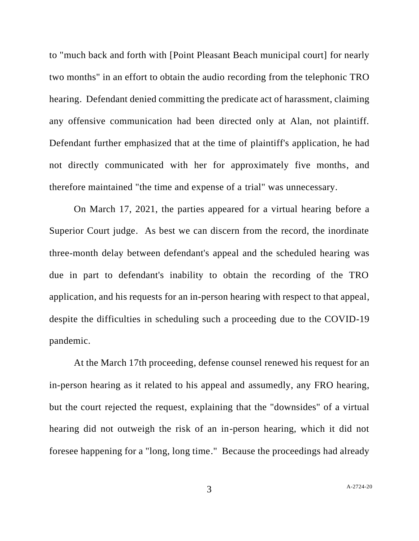to "much back and forth with [Point Pleasant Beach municipal court] for nearly two months" in an effort to obtain the audio recording from the telephonic TRO hearing. Defendant denied committing the predicate act of harassment, claiming any offensive communication had been directed only at Alan, not plaintiff. Defendant further emphasized that at the time of plaintiff's application, he had not directly communicated with her for approximately five months, and therefore maintained "the time and expense of a trial" was unnecessary.

On March 17, 2021, the parties appeared for a virtual hearing before a Superior Court judge. As best we can discern from the record, the inordinate three-month delay between defendant's appeal and the scheduled hearing was due in part to defendant's inability to obtain the recording of the TRO application, and his requests for an in-person hearing with respect to that appeal, despite the difficulties in scheduling such a proceeding due to the COVID-19 pandemic.

At the March 17th proceeding, defense counsel renewed his request for an in-person hearing as it related to his appeal and assumedly, any FRO hearing, but the court rejected the request, explaining that the "downsides" of a virtual hearing did not outweigh the risk of an in-person hearing, which it did not foresee happening for a "long, long time." Because the proceedings had already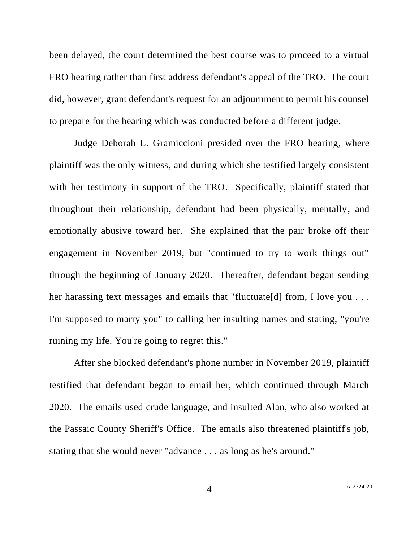been delayed, the court determined the best course was to proceed to a virtual FRO hearing rather than first address defendant's appeal of the TRO. The court did, however, grant defendant's request for an adjournment to permit his counsel to prepare for the hearing which was conducted before a different judge.

Judge Deborah L. Gramiccioni presided over the FRO hearing, where plaintiff was the only witness, and during which she testified largely consistent with her testimony in support of the TRO. Specifically, plaintiff stated that throughout their relationship, defendant had been physically, mentally, and emotionally abusive toward her. She explained that the pair broke off their engagement in November 2019, but "continued to try to work things out" through the beginning of January 2020. Thereafter, defendant began sending her harassing text messages and emails that "fluctuate [d] from, I love you ... I'm supposed to marry you" to calling her insulting names and stating, "you're ruining my life. You're going to regret this."

After she blocked defendant's phone number in November 2019, plaintiff testified that defendant began to email her, which continued through March 2020. The emails used crude language, and insulted Alan, who also worked at the Passaic County Sheriff's Office. The emails also threatened plaintiff's job, stating that she would never "advance . . . as long as he's around."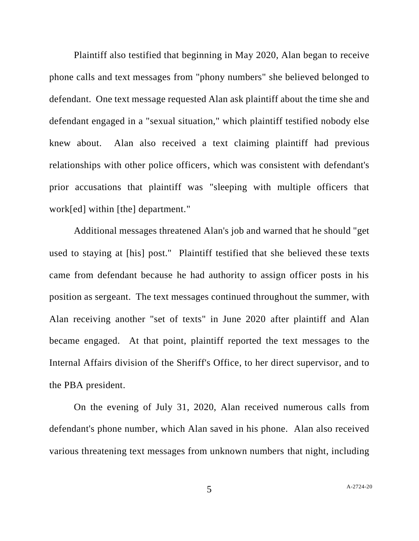Plaintiff also testified that beginning in May 2020, Alan began to receive phone calls and text messages from "phony numbers" she believed belonged to defendant. One text message requested Alan ask plaintiff about the time she and defendant engaged in a "sexual situation," which plaintiff testified nobody else knew about. Alan also received a text claiming plaintiff had previous relationships with other police officers, which was consistent with defendant's prior accusations that plaintiff was "sleeping with multiple officers that work[ed] within [the] department."

Additional messages threatened Alan's job and warned that he should "get used to staying at [his] post." Plaintiff testified that she believed these texts came from defendant because he had authority to assign officer posts in his position as sergeant. The text messages continued throughout the summer, with Alan receiving another "set of texts" in June 2020 after plaintiff and Alan became engaged. At that point, plaintiff reported the text messages to the Internal Affairs division of the Sheriff's Office, to her direct supervisor, and to the PBA president.

On the evening of July 31, 2020, Alan received numerous calls from defendant's phone number, which Alan saved in his phone. Alan also received various threatening text messages from unknown numbers that night, including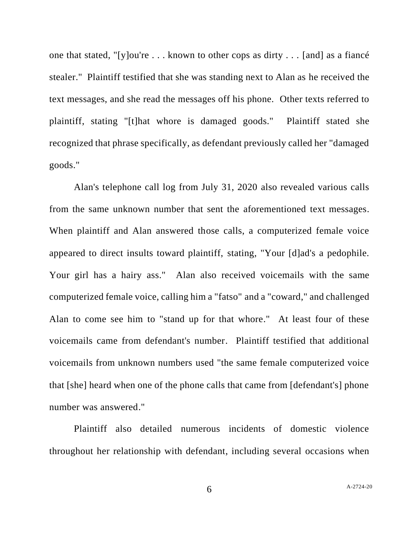one that stated, "[y]ou're . . . known to other cops as dirty . . . [and] as a fiancé stealer." Plaintiff testified that she was standing next to Alan as he received the text messages, and she read the messages off his phone. Other texts referred to plaintiff, stating "[t]hat whore is damaged goods." Plaintiff stated she recognized that phrase specifically, as defendant previously called her "damaged goods."

Alan's telephone call log from July 31, 2020 also revealed various calls from the same unknown number that sent the aforementioned text messages. When plaintiff and Alan answered those calls, a computerized female voice appeared to direct insults toward plaintiff, stating, "Your [d]ad's a pedophile. Your girl has a hairy ass." Alan also received voicemails with the same computerized female voice, calling him a "fatso" and a "coward," and challenged Alan to come see him to "stand up for that whore." At least four of these voicemails came from defendant's number. Plaintiff testified that additional voicemails from unknown numbers used "the same female computerized voice that [she] heard when one of the phone calls that came from [defendant's] phone number was answered."

Plaintiff also detailed numerous incidents of domestic violence throughout her relationship with defendant, including several occasions when

6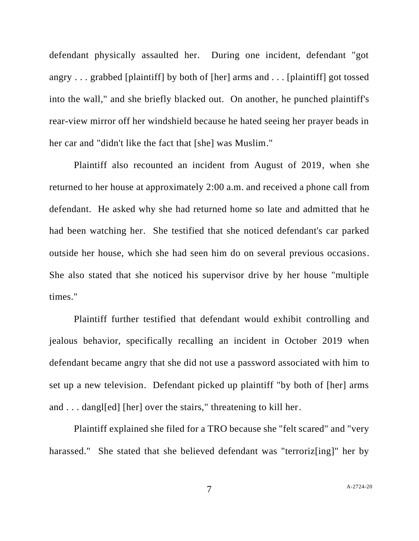defendant physically assaulted her. During one incident, defendant "got angry . . . grabbed [plaintiff] by both of [her] arms and . . . [plaintiff] got tossed into the wall," and she briefly blacked out. On another, he punched plaintiff's rear-view mirror off her windshield because he hated seeing her prayer beads in her car and "didn't like the fact that [she] was Muslim."

Plaintiff also recounted an incident from August of 2019, when she returned to her house at approximately 2:00 a.m. and received a phone call from defendant. He asked why she had returned home so late and admitted that he had been watching her. She testified that she noticed defendant's car parked outside her house, which she had seen him do on several previous occasions. She also stated that she noticed his supervisor drive by her house "multiple times."

Plaintiff further testified that defendant would exhibit controlling and jealous behavior, specifically recalling an incident in October 2019 when defendant became angry that she did not use a password associated with him to set up a new television. Defendant picked up plaintiff "by both of [her] arms and . . . dangled [her] over the stairs," threatening to kill her.

Plaintiff explained she filed for a TRO because she "felt scared" and "very harassed." She stated that she believed defendant was "terroriz<sup>[ing]"</sup> her by

7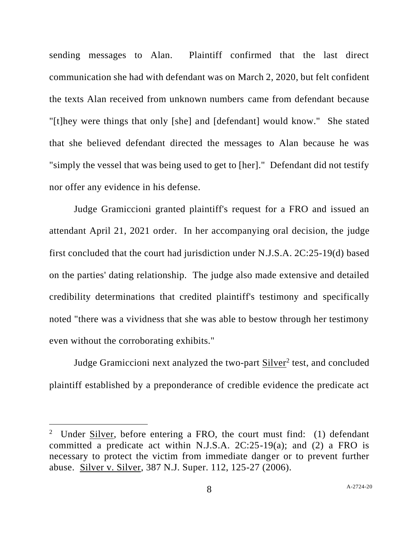sending messages to Alan. Plaintiff confirmed that the last direct communication she had with defendant was on March 2, 2020, but felt confident the texts Alan received from unknown numbers came from defendant because "[t]hey were things that only [she] and [defendant] would know." She stated that she believed defendant directed the messages to Alan because he was "simply the vessel that was being used to get to [her]." Defendant did not testify nor offer any evidence in his defense.

Judge Gramiccioni granted plaintiff's request for a FRO and issued an attendant April 21, 2021 order. In her accompanying oral decision, the judge first concluded that the court had jurisdiction under N.J.S.A. 2C:25-19(d) based on the parties' dating relationship. The judge also made extensive and detailed credibility determinations that credited plaintiff's testimony and specifically noted "there was a vividness that she was able to bestow through her testimony even without the corroborating exhibits."

Judge Gramiccioni next analyzed the two-part **Silver<sup>2</sup>** test, and concluded plaintiff established by a preponderance of credible evidence the predicate act

<sup>&</sup>lt;sup>2</sup> Under  $\frac{\text{Silver}}{\text{Set}}$ , before entering a FRO, the court must find: (1) defendant committed a predicate act within N.J.S.A. 2C:25-19(a); and (2) a FRO is necessary to protect the victim from immediate danger or to prevent further abuse. Silver v. Silver, 387 N.J. Super. 112, 125-27 (2006).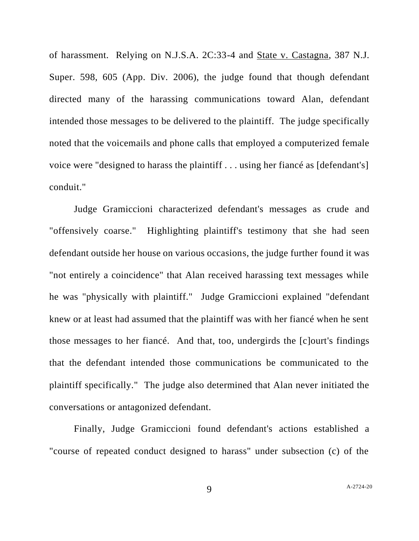of harassment. Relying on N.J.S.A. 2C:33-4 and State v. Castagna, 387 N.J. Super. 598, 605 (App. Div. 2006), the judge found that though defendant directed many of the harassing communications toward Alan, defendant intended those messages to be delivered to the plaintiff. The judge specifically noted that the voicemails and phone calls that employed a computerized female voice were "designed to harass the plaintiff . . . using her fiancé as [defendant's] conduit."

Judge Gramiccioni characterized defendant's messages as crude and "offensively coarse." Highlighting plaintiff's testimony that she had seen defendant outside her house on various occasions, the judge further found it was "not entirely a coincidence" that Alan received harassing text messages while he was "physically with plaintiff." Judge Gramiccioni explained "defendant knew or at least had assumed that the plaintiff was with her fiancé when he sent those messages to her fiancé. And that, too, undergirds the [c]ourt's findings that the defendant intended those communications be communicated to the plaintiff specifically." The judge also determined that Alan never initiated the conversations or antagonized defendant.

Finally, Judge Gramiccioni found defendant's actions established a "course of repeated conduct designed to harass" under subsection (c) of the

9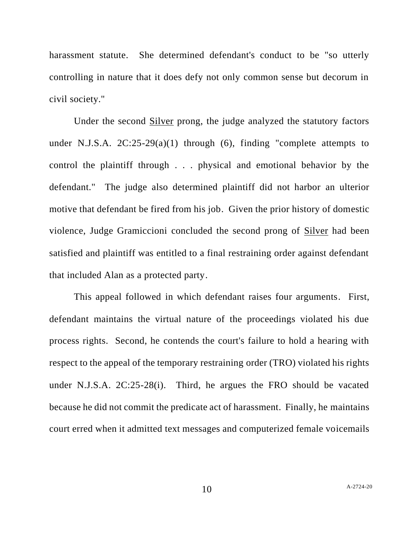harassment statute. She determined defendant's conduct to be "so utterly controlling in nature that it does defy not only common sense but decorum in civil society."

Under the second Silver prong, the judge analyzed the statutory factors under N.J.S.A.  $2C:25-29(a)(1)$  through (6), finding "complete attempts to control the plaintiff through . . . physical and emotional behavior by the defendant." The judge also determined plaintiff did not harbor an ulterior motive that defendant be fired from his job. Given the prior history of domestic violence, Judge Gramiccioni concluded the second prong of Silver had been satisfied and plaintiff was entitled to a final restraining order against defendant that included Alan as a protected party.

This appeal followed in which defendant raises four arguments. First, defendant maintains the virtual nature of the proceedings violated his due process rights. Second, he contends the court's failure to hold a hearing with respect to the appeal of the temporary restraining order (TRO) violated his rights under N.J.S.A. 2C:25-28(i). Third, he argues the FRO should be vacated because he did not commit the predicate act of harassment. Finally, he maintains court erred when it admitted text messages and computerized female voicemails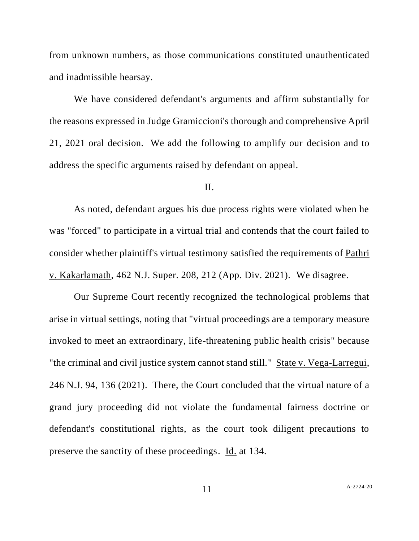from unknown numbers, as those communications constituted unauthenticated and inadmissible hearsay.

We have considered defendant's arguments and affirm substantially for the reasons expressed in Judge Gramiccioni's thorough and comprehensive April 21, 2021 oral decision. We add the following to amplify our decision and to address the specific arguments raised by defendant on appeal.

## II.

As noted, defendant argues his due process rights were violated when he was "forced" to participate in a virtual trial and contends that the court failed to consider whether plaintiff's virtual testimony satisfied the requirements of Pathri v. Kakarlamath, 462 N.J. Super. 208, 212 (App. Div. 2021). We disagree.

Our Supreme Court recently recognized the technological problems that arise in virtual settings, noting that "virtual proceedings are a temporary measure invoked to meet an extraordinary, life-threatening public health crisis" because "the criminal and civil justice system cannot stand still." State v. Vega-Larregui, 246 N.J. 94, 136 (2021). There, the Court concluded that the virtual nature of a grand jury proceeding did not violate the fundamental fairness doctrine or defendant's constitutional rights, as the court took diligent precautions to preserve the sanctity of these proceedings. Id. at 134.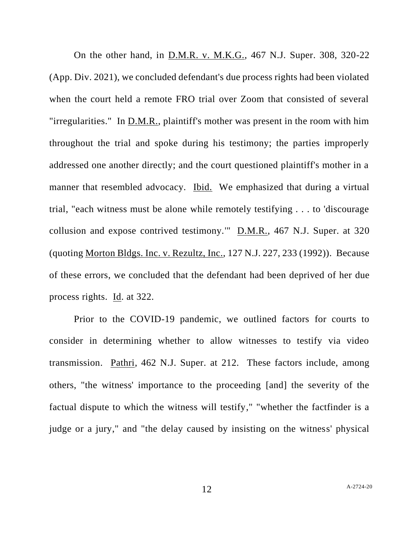On the other hand, in D.M.R. v. M.K.G., 467 N.J. Super. 308, 320-22 (App. Div. 2021), we concluded defendant's due process rights had been violated when the court held a remote FRO trial over Zoom that consisted of several "irregularities." In D.M.R., plaintiff's mother was present in the room with him throughout the trial and spoke during his testimony; the parties improperly addressed one another directly; and the court questioned plaintiff's mother in a manner that resembled advocacy. Ibid. We emphasized that during a virtual trial, "each witness must be alone while remotely testifying . . . to 'discourage collusion and expose contrived testimony."  $\underline{\text{D.M.R.,}}$  467 N.J. Super. at 320 (quoting Morton Bldgs. Inc. v. Rezultz, Inc., 127 N.J. 227, 233 (1992)). Because of these errors, we concluded that the defendant had been deprived of her due process rights. Id. at 322.

Prior to the COVID-19 pandemic, we outlined factors for courts to consider in determining whether to allow witnesses to testify via video transmission. Pathri, 462 N.J. Super. at 212. These factors include, among others, "the witness' importance to the proceeding [and] the severity of the factual dispute to which the witness will testify," "whether the factfinder is a judge or a jury," and "the delay caused by insisting on the witness' physical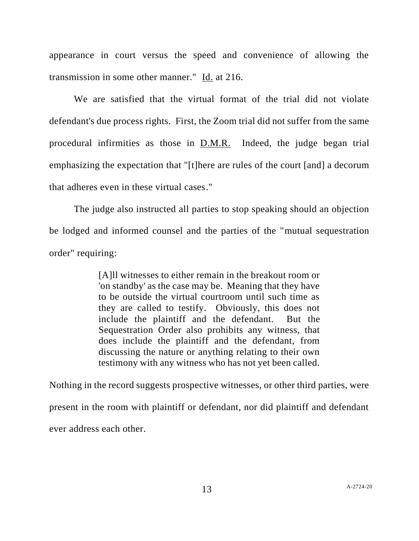appearance in court versus the speed and convenience of allowing the transmission in some other manner." Id. at 216.

We are satisfied that the virtual format of the trial did not violate defendant's due process rights. First, the Zoom trial did not suffer from the same procedural infirmities as those in D.M.R. Indeed, the judge began trial emphasizing the expectation that "[t]here are rules of the court [and] a decorum that adheres even in these virtual cases."

The judge also instructed all parties to stop speaking should an objection be lodged and informed counsel and the parties of the "mutual sequestration order" requiring:

> [A]ll witnesses to either remain in the breakout room or 'on standby' as the case may be. Meaning that they have to be outside the virtual courtroom until such time as they are called to testify. Obviously, this does not include the plaintiff and the defendant. But the Sequestration Order also prohibits any witness, that does include the plaintiff and the defendant, from discussing the nature or anything relating to their own testimony with any witness who has not yet been called.

Nothing in the record suggests prospective witnesses, or other third parties, were present in the room with plaintiff or defendant, nor did plaintiff and defendant ever address each other.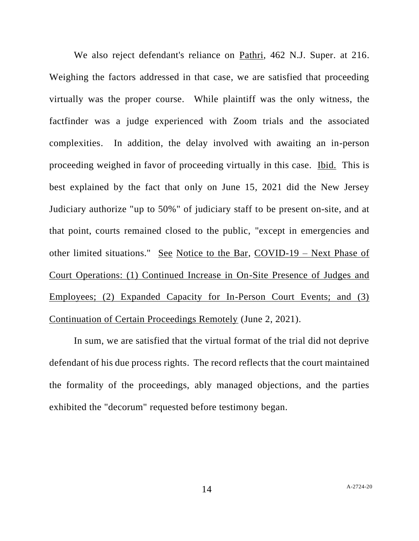We also reject defendant's reliance on Pathri, 462 N.J. Super. at 216. Weighing the factors addressed in that case, we are satisfied that proceeding virtually was the proper course. While plaintiff was the only witness, the factfinder was a judge experienced with Zoom trials and the associated complexities. In addition, the delay involved with awaiting an in-person proceeding weighed in favor of proceeding virtually in this case. Ibid. This is best explained by the fact that only on June 15, 2021 did the New Jersey Judiciary authorize "up to 50%" of judiciary staff to be present on-site, and at that point, courts remained closed to the public, "except in emergencies and other limited situations." See Notice to the Bar, COVID-19 – Next Phase of Court Operations: (1) Continued Increase in On-Site Presence of Judges and Employees; (2) Expanded Capacity for In-Person Court Events; and (3) Continuation of Certain Proceedings Remotely (June 2, 2021).

In sum, we are satisfied that the virtual format of the trial did not deprive defendant of his due process rights. The record reflects that the court maintained the formality of the proceedings, ably managed objections, and the parties exhibited the "decorum" requested before testimony began.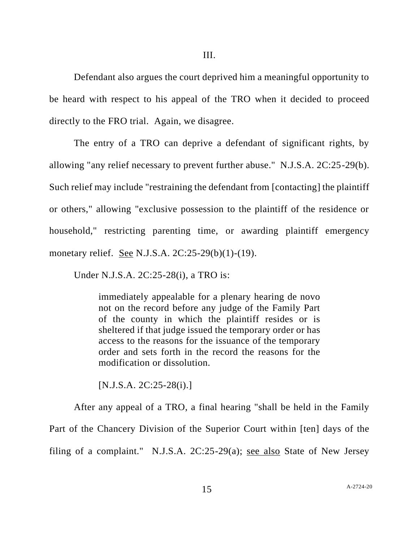Defendant also argues the court deprived him a meaningful opportunity to be heard with respect to his appeal of the TRO when it decided to proceed directly to the FRO trial. Again, we disagree.

The entry of a TRO can deprive a defendant of significant rights, by allowing "any relief necessary to prevent further abuse." N.J.S.A. 2C:25-29(b). Such relief may include "restraining the defendant from [contacting] the plaintiff or others," allowing "exclusive possession to the plaintiff of the residence or household," restricting parenting time, or awarding plaintiff emergency monetary relief. See N.J.S.A. 2C:25-29(b)(1)-(19).

Under N.J.S.A. 2C:25-28(i), a TRO is:

immediately appealable for a plenary hearing de novo not on the record before any judge of the Family Part of the county in which the plaintiff resides or is sheltered if that judge issued the temporary order or has access to the reasons for the issuance of the temporary order and sets forth in the record the reasons for the modification or dissolution.

[N.J.S.A. 2C:25-28(i).]

After any appeal of a TRO, a final hearing "shall be held in the Family Part of the Chancery Division of the Superior Court within [ten] days of the filing of a complaint." N.J.S.A. 2C:25-29(a); see also State of New Jersey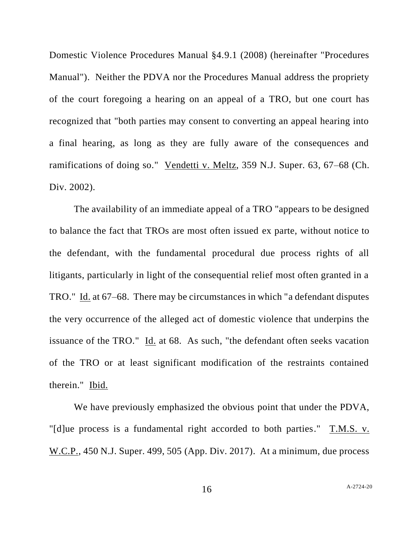Domestic Violence Procedures Manual §4.9.1 (2008) (hereinafter "Procedures Manual"). Neither the PDVA nor the Procedures Manual address the propriety of the court foregoing a hearing on an appeal of a TRO, but one court has recognized that "both parties may consent to converting an appeal hearing into a final hearing, as long as they are fully aware of the consequences and ramifications of doing so." Vendetti v. Meltz, 359 N.J. Super. 63, 67–68 (Ch. Div. 2002).

The availability of an immediate appeal of a TRO "appears to be designed to balance the fact that TROs are most often issued ex parte, without notice to the defendant, with the fundamental procedural due process rights of all litigants, particularly in light of the consequential relief most often granted in a TRO." Id. at 67–68. There may be circumstances in which "a defendant disputes the very occurrence of the alleged act of domestic violence that underpins the issuance of the TRO." Id. at 68. As such, "the defendant often seeks vacation of the TRO or at least significant modification of the restraints contained therein." Ibid.

We have previously emphasized the obvious point that under the PDVA, "[d]ue process is a fundamental right accorded to both parties." T.M.S. v. W.C.P., 450 N.J. Super. 499, 505 (App. Div. 2017). At a minimum, due process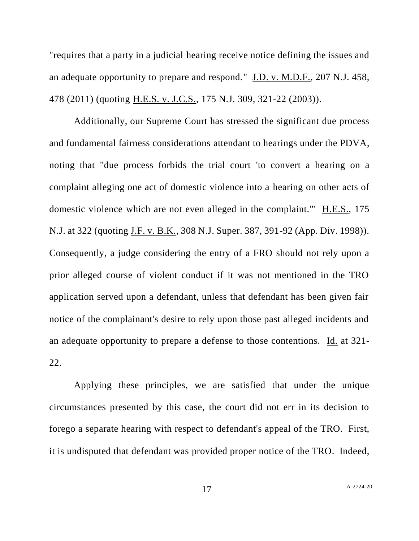"requires that a party in a judicial hearing receive notice defining the issues and an adequate opportunity to prepare and respond." J.D. v. M.D.F., 207 N.J. 458, 478 (2011) (quoting H.E.S. v. J.C.S., 175 N.J. 309, 321-22 (2003)).

Additionally, our Supreme Court has stressed the significant due process and fundamental fairness considerations attendant to hearings under the PDVA, noting that "due process forbids the trial court 'to convert a hearing on a complaint alleging one act of domestic violence into a hearing on other acts of domestic violence which are not even alleged in the complaint.'" H.E.S., 175 N.J. at 322 (quoting J.F. v. B.K., 308 N.J. Super. 387, 391-92 (App. Div. 1998)). Consequently, a judge considering the entry of a FRO should not rely upon a prior alleged course of violent conduct if it was not mentioned in the TRO application served upon a defendant, unless that defendant has been given fair notice of the complainant's desire to rely upon those past alleged incidents and an adequate opportunity to prepare a defense to those contentions. Id. at 321- 22.

Applying these principles, we are satisfied that under the unique circumstances presented by this case, the court did not err in its decision to forego a separate hearing with respect to defendant's appeal of the TRO. First, it is undisputed that defendant was provided proper notice of the TRO. Indeed,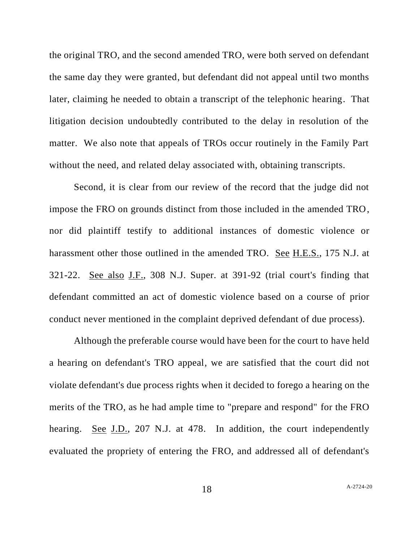the original TRO, and the second amended TRO, were both served on defendant the same day they were granted, but defendant did not appeal until two months later, claiming he needed to obtain a transcript of the telephonic hearing. That litigation decision undoubtedly contributed to the delay in resolution of the matter. We also note that appeals of TROs occur routinely in the Family Part without the need, and related delay associated with, obtaining transcripts.

Second, it is clear from our review of the record that the judge did not impose the FRO on grounds distinct from those included in the amended TRO, nor did plaintiff testify to additional instances of domestic violence or harassment other those outlined in the amended TRO. See H.E.S., 175 N.J. at 321-22. See also J.F., 308 N.J. Super. at 391-92 (trial court's finding that defendant committed an act of domestic violence based on a course of prior conduct never mentioned in the complaint deprived defendant of due process).

Although the preferable course would have been for the court to have held a hearing on defendant's TRO appeal, we are satisfied that the court did not violate defendant's due process rights when it decided to forego a hearing on the merits of the TRO, as he had ample time to "prepare and respond" for the FRO hearing. See J.D., 207 N.J. at 478. In addition, the court independently evaluated the propriety of entering the FRO, and addressed all of defendant's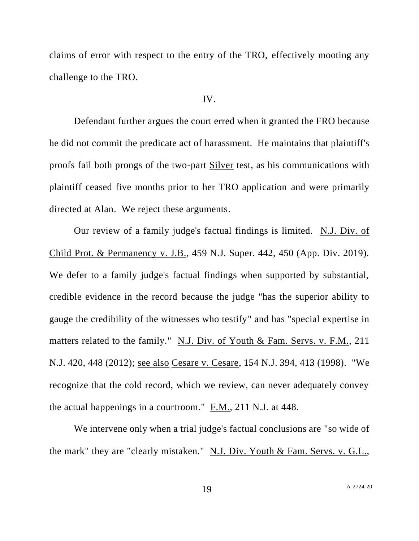claims of error with respect to the entry of the TRO, effectively mooting any challenge to the TRO.

## IV.

Defendant further argues the court erred when it granted the FRO because he did not commit the predicate act of harassment. He maintains that plaintiff's proofs fail both prongs of the two-part Silver test, as his communications with plaintiff ceased five months prior to her TRO application and were primarily directed at Alan. We reject these arguments.

Our review of a family judge's factual findings is limited. N.J. Div. of Child Prot. & Permanency v. J.B., 459 N.J. Super. 442, 450 (App. Div. 2019). We defer to a family judge's factual findings when supported by substantial, credible evidence in the record because the judge "has the superior ability to gauge the credibility of the witnesses who testify" and has "special expertise in matters related to the family." N.J. Div. of Youth & Fam. Servs. v. F.M., 211 N.J. 420, 448 (2012); see also Cesare v. Cesare, 154 N.J. 394, 413 (1998). "We recognize that the cold record, which we review, can never adequately convey the actual happenings in a courtroom." F.M., 211 N.J. at 448.

We intervene only when a trial judge's factual conclusions are "so wide of the mark" they are "clearly mistaken." N.J. Div. Youth & Fam. Servs. v. G.L.,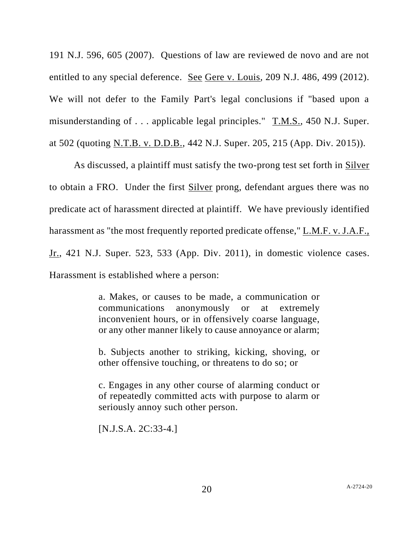191 N.J. 596, 605 (2007). Questions of law are reviewed de novo and are not entitled to any special deference. See Gere v. Louis, 209 N.J. 486, 499 (2012). We will not defer to the Family Part's legal conclusions if "based upon a misunderstanding of . . . applicable legal principles." T.M.S., 450 N.J. Super. at 502 (quoting N.T.B. v. D.D.B., 442 N.J. Super. 205, 215 (App. Div. 2015)).

As discussed, a plaintiff must satisfy the two-prong test set forth in Silver to obtain a FRO. Under the first Silver prong, defendant argues there was no predicate act of harassment directed at plaintiff. We have previously identified harassment as "the most frequently reported predicate offense," L.M.F. v. J.A.F., Jr., 421 N.J. Super. 523, 533 (App. Div. 2011), in domestic violence cases. Harassment is established where a person:

> a. Makes, or causes to be made, a communication or communications anonymously or at extremely inconvenient hours, or in offensively coarse language, or any other manner likely to cause annoyance or alarm;

> b. Subjects another to striking, kicking, shoving, or other offensive touching, or threatens to do so; or

> c. Engages in any other course of alarming conduct or of repeatedly committed acts with purpose to alarm or seriously annoy such other person.

[N.J.S.A. 2C:33-4.]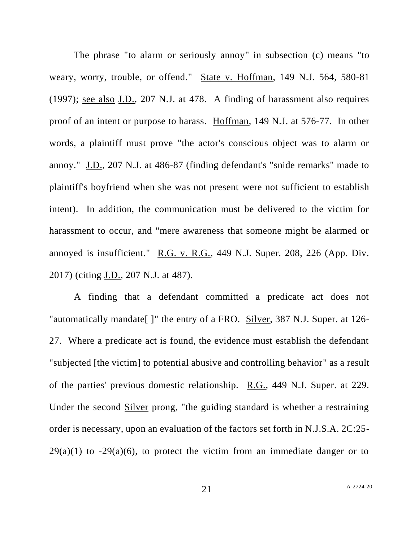The phrase "to alarm or seriously annoy" in subsection (c) means "to weary, worry, trouble, or offend." State v. Hoffman, 149 N.J. 564, 580-81 (1997); see also J.D., 207 N.J. at 478. A finding of harassment also requires proof of an intent or purpose to harass. Hoffman, 149 N.J. at 576-77. In other words, a plaintiff must prove "the actor's conscious object was to alarm or annoy." J.D., 207 N.J. at 486-87 (finding defendant's "snide remarks" made to plaintiff's boyfriend when she was not present were not sufficient to establish intent). In addition, the communication must be delivered to the victim for harassment to occur, and "mere awareness that someone might be alarmed or annoyed is insufficient." R.G. v. R.G., 449 N.J. Super. 208, 226 (App. Div. 2017) (citing J.D., 207 N.J. at 487).

A finding that a defendant committed a predicate act does not "automatically mandate[ ]" the entry of a FRO. Silver, 387 N.J. Super. at 126- 27. Where a predicate act is found, the evidence must establish the defendant "subjected [the victim] to potential abusive and controlling behavior" as a result of the parties' previous domestic relationship. R.G., 449 N.J. Super. at 229. Under the second Silver prong, "the guiding standard is whether a restraining order is necessary, upon an evaluation of the factors set forth in N.J.S.A. 2C:25-  $29(a)(1)$  to  $-29(a)(6)$ , to protect the victim from an immediate danger or to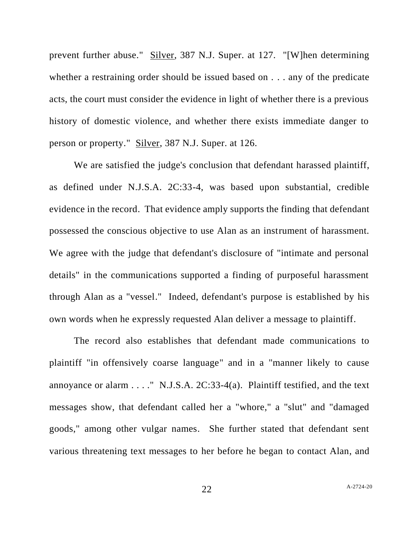prevent further abuse." Silver, 387 N.J. Super. at 127. "[W]hen determining whether a restraining order should be issued based on . . . any of the predicate acts, the court must consider the evidence in light of whether there is a previous history of domestic violence, and whether there exists immediate danger to person or property." Silver, 387 N.J. Super. at 126.

We are satisfied the judge's conclusion that defendant harassed plaintiff, as defined under N.J.S.A. 2C:33-4, was based upon substantial, credible evidence in the record. That evidence amply supports the finding that defendant possessed the conscious objective to use Alan as an instrument of harassment. We agree with the judge that defendant's disclosure of "intimate and personal details" in the communications supported a finding of purposeful harassment through Alan as a "vessel." Indeed, defendant's purpose is established by his own words when he expressly requested Alan deliver a message to plaintiff.

The record also establishes that defendant made communications to plaintiff "in offensively coarse language" and in a "manner likely to cause annoyance or alarm  $\dots$ ." N.J.S.A. 2C:33-4(a). Plaintiff testified, and the text messages show, that defendant called her a "whore," a "slut" and "damaged goods," among other vulgar names. She further stated that defendant sent various threatening text messages to her before he began to contact Alan, and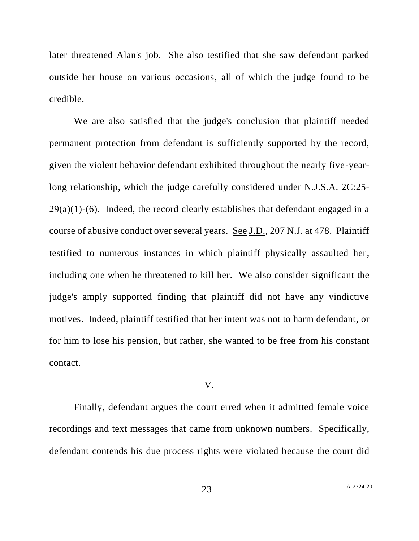later threatened Alan's job. She also testified that she saw defendant parked outside her house on various occasions, all of which the judge found to be credible.

We are also satisfied that the judge's conclusion that plaintiff needed permanent protection from defendant is sufficiently supported by the record, given the violent behavior defendant exhibited throughout the nearly five-yearlong relationship, which the judge carefully considered under N.J.S.A. 2C:25-  $29(a)(1)-(6)$ . Indeed, the record clearly establishes that defendant engaged in a course of abusive conduct over several years. See J.D., 207 N.J. at 478. Plaintiff testified to numerous instances in which plaintiff physically assaulted her, including one when he threatened to kill her. We also consider significant the judge's amply supported finding that plaintiff did not have any vindictive motives. Indeed, plaintiff testified that her intent was not to harm defendant, or for him to lose his pension, but rather, she wanted to be free from his constant contact.

## V.

Finally, defendant argues the court erred when it admitted female voice recordings and text messages that came from unknown numbers. Specifically, defendant contends his due process rights were violated because the court did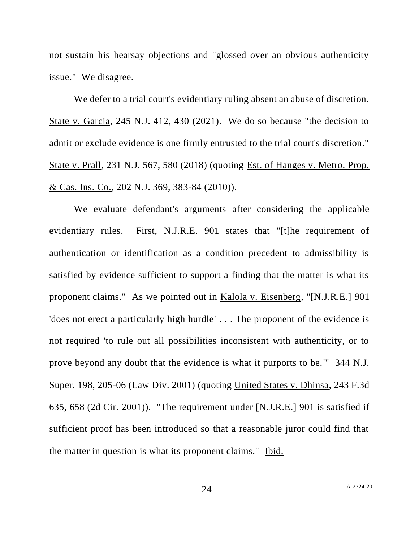not sustain his hearsay objections and "glossed over an obvious authenticity issue." We disagree.

We defer to a trial court's evidentiary ruling absent an abuse of discretion. State v. Garcia, 245 N.J. 412, 430 (2021). We do so because "the decision to admit or exclude evidence is one firmly entrusted to the trial court's discretion." State v. Prall, 231 N.J. 567, 580 (2018) (quoting Est. of Hanges v. Metro. Prop. & Cas. Ins. Co., 202 N.J. 369, 383-84 (2010)).

We evaluate defendant's arguments after considering the applicable evidentiary rules. First, N.J.R.E. 901 states that "[t]he requirement of authentication or identification as a condition precedent to admissibility is satisfied by evidence sufficient to support a finding that the matter is what its proponent claims." As we pointed out in Kalola v. Eisenberg, "[N.J.R.E.] 901 'does not erect a particularly high hurdle' . . . The proponent of the evidence is not required 'to rule out all possibilities inconsistent with authenticity, or to prove beyond any doubt that the evidence is what it purports to be.'" 344 N.J. Super. 198, 205-06 (Law Div. 2001) (quoting United States v. Dhinsa, 243 F.3d 635, 658 (2d Cir. 2001)). "The requirement under [N.J.R.E.] 901 is satisfied if sufficient proof has been introduced so that a reasonable juror could find that the matter in question is what its proponent claims." Ibid.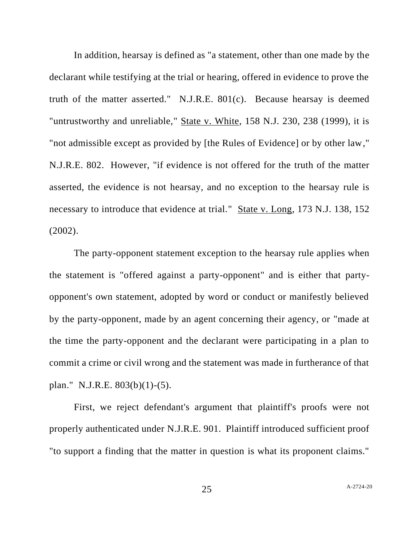In addition, hearsay is defined as "a statement, other than one made by the declarant while testifying at the trial or hearing, offered in evidence to prove the truth of the matter asserted." N.J.R.E. 801(c). Because hearsay is deemed "untrustworthy and unreliable," State v. White, 158 N.J. 230, 238 (1999), it is "not admissible except as provided by [the Rules of Evidence] or by other law," N.J.R.E. 802. However, "if evidence is not offered for the truth of the matter asserted, the evidence is not hearsay, and no exception to the hearsay rule is necessary to introduce that evidence at trial." State v. Long, 173 N.J. 138, 152 (2002).

The party-opponent statement exception to the hearsay rule applies when the statement is "offered against a party-opponent" and is either that partyopponent's own statement, adopted by word or conduct or manifestly believed by the party-opponent, made by an agent concerning their agency, or "made at the time the party-opponent and the declarant were participating in a plan to commit a crime or civil wrong and the statement was made in furtherance of that plan." N.J.R.E. 803(b)(1)-(5).

First, we reject defendant's argument that plaintiff's proofs were not properly authenticated under N.J.R.E. 901. Plaintiff introduced sufficient proof "to support a finding that the matter in question is what its proponent claims."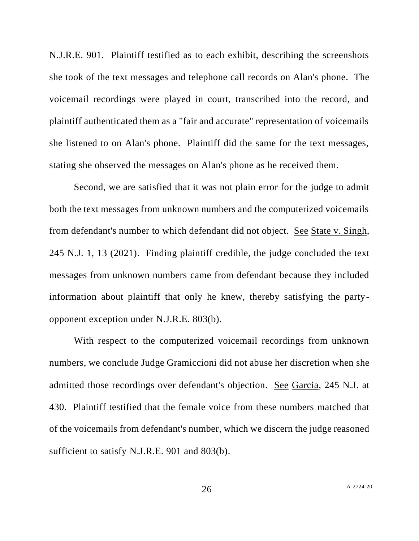N.J.R.E. 901. Plaintiff testified as to each exhibit, describing the screenshots she took of the text messages and telephone call records on Alan's phone. The voicemail recordings were played in court, transcribed into the record, and plaintiff authenticated them as a "fair and accurate" representation of voicemails she listened to on Alan's phone. Plaintiff did the same for the text messages, stating she observed the messages on Alan's phone as he received them.

Second, we are satisfied that it was not plain error for the judge to admit both the text messages from unknown numbers and the computerized voicemails from defendant's number to which defendant did not object. See State v. Singh, 245 N.J. 1, 13 (2021). Finding plaintiff credible, the judge concluded the text messages from unknown numbers came from defendant because they included information about plaintiff that only he knew, thereby satisfying the partyopponent exception under N.J.R.E. 803(b).

With respect to the computerized voicemail recordings from unknown numbers, we conclude Judge Gramiccioni did not abuse her discretion when she admitted those recordings over defendant's objection. See Garcia, 245 N.J. at 430. Plaintiff testified that the female voice from these numbers matched that of the voicemails from defendant's number, which we discern the judge reasoned sufficient to satisfy N.J.R.E. 901 and 803(b).